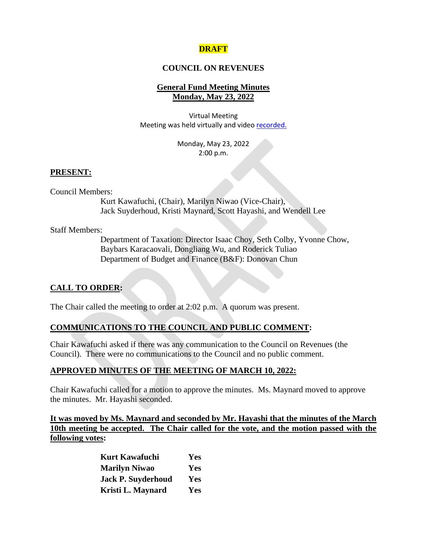# **DRAFT**

#### **COUNCIL ON REVENUES**

# **General Fund Meeting Minutes Monday, May 23, 2022**

Virtual Meeting Meeting was held virtually and vide[o recorded.](https://www.youtube.com/watch?v=3j0sDJb6nIM)

> Monday, May 23, 2022 2:00 p.m.

#### **PRESENT:**

Council Members:

Kurt Kawafuchi, (Chair), Marilyn Niwao (Vice-Chair), Jack Suyderhoud, Kristi Maynard, Scott Hayashi, and Wendell Lee

Staff Members:

Department of Taxation: Director Isaac Choy, Seth Colby, Yvonne Chow, Baybars Karacaovali, Dongliang Wu, and Roderick Tuliao Department of Budget and Finance (B&F): Donovan Chun

# **CALL TO ORDER:**

The Chair called the meeting to order at 2:02 p.m. A quorum was present.

# **COMMUNICATIONS TO THE COUNCIL AND PUBLIC COMMENT:**

Chair Kawafuchi asked if there was any communication to the Council on Revenues (the Council). There were no communications to the Council and no public comment.

#### **APPROVED MINUTES OF THE MEETING OF MARCH 10, 2022:**

Chair Kawafuchi called for a motion to approve the minutes. Ms. Maynard moved to approve the minutes. Mr. Hayashi seconded.

**It was moved by Ms. Maynard and seconded by Mr. Hayashi that the minutes of the March 10th meeting be accepted. The Chair called for the vote, and the motion passed with the following votes:**

| <b>Kurt Kawafuchi</b>     | <b>Yes</b> |
|---------------------------|------------|
| <b>Marilyn Niwao</b>      | <b>Yes</b> |
| <b>Jack P. Suyderhoud</b> | <b>Yes</b> |
| Kristi L. Maynard         | <b>Yes</b> |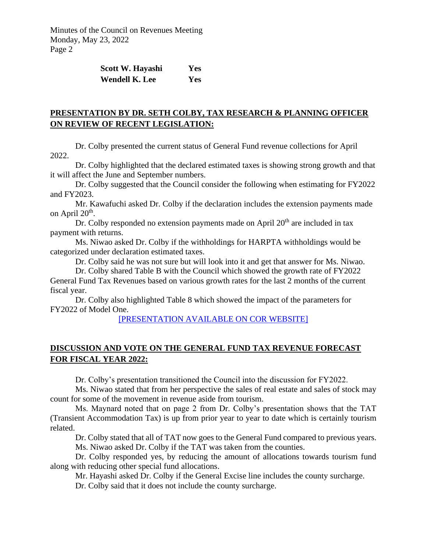| Scott W. Hayashi      | Yes |
|-----------------------|-----|
| <b>Wendell K. Lee</b> | Yes |

# **PRESENTATION BY DR. SETH COLBY, TAX RESEARCH & PLANNING OFFICER ON REVIEW OF RECENT LEGISLATION:**

Dr. Colby presented the current status of General Fund revenue collections for April 2022.

Dr. Colby highlighted that the declared estimated taxes is showing strong growth and that it will affect the June and September numbers.

Dr. Colby suggested that the Council consider the following when estimating for FY2022 and FY2023.

Mr. Kawafuchi asked Dr. Colby if the declaration includes the extension payments made on April 20<sup>th</sup>.

Dr. Colby responded no extension payments made on April  $20<sup>th</sup>$  are included in tax payment with returns.

Ms. Niwao asked Dr. Colby if the withholdings for HARPTA withholdings would be categorized under declaration estimated taxes.

Dr. Colby said he was not sure but will look into it and get that answer for Ms. Niwao.

Dr. Colby shared Table B with the Council which showed the growth rate of FY2022

General Fund Tax Revenues based on various growth rates for the last 2 months of the current fiscal year.

Dr. Colby also highlighted Table 8 which showed the impact of the parameters for FY2022 of Model One.

[\[PRESENTATION AVAILABLE ON COR WEBSITE\]](https://files.hawaii.gov/tax/useful/cor/2022gf05-22_DOTAX_presentation.pdf)

# **DISCUSSION AND VOTE ON THE GENERAL FUND TAX REVENUE FORECAST FOR FISCAL YEAR 2022:**

Dr. Colby's presentation transitioned the Council into the discussion for FY2022.

Ms. Niwao stated that from her perspective the sales of real estate and sales of stock may count for some of the movement in revenue aside from tourism.

Ms. Maynard noted that on page 2 from Dr. Colby's presentation shows that the TAT (Transient Accommodation Tax) is up from prior year to year to date which is certainly tourism related.

Dr. Colby stated that all of TAT now goes to the General Fund compared to previous years. Ms. Niwao asked Dr. Colby if the TAT was taken from the counties.

Dr. Colby responded yes, by reducing the amount of allocations towards tourism fund along with reducing other special fund allocations.

Mr. Hayashi asked Dr. Colby if the General Excise line includes the county surcharge.

Dr. Colby said that it does not include the county surcharge.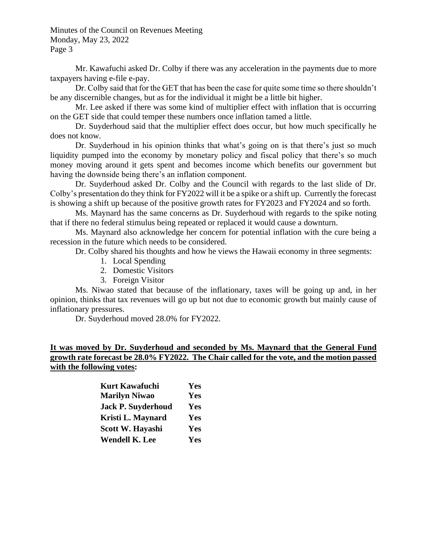Mr. Kawafuchi asked Dr. Colby if there was any acceleration in the payments due to more taxpayers having e-file e-pay.

Dr. Colby said that for the GET that has been the case for quite some time so there shouldn't be any discernible changes, but as for the individual it might be a little bit higher.

Mr. Lee asked if there was some kind of multiplier effect with inflation that is occurring on the GET side that could temper these numbers once inflation tamed a little.

Dr. Suyderhoud said that the multiplier effect does occur, but how much specifically he does not know.

Dr. Suyderhoud in his opinion thinks that what's going on is that there's just so much liquidity pumped into the economy by monetary policy and fiscal policy that there's so much money moving around it gets spent and becomes income which benefits our government but having the downside being there's an inflation component.

Dr. Suyderhoud asked Dr. Colby and the Council with regards to the last slide of Dr. Colby's presentation do they think for FY2022 will it be a spike or a shift up. Currently the forecast is showing a shift up because of the positive growth rates for FY2023 and FY2024 and so forth.

Ms. Maynard has the same concerns as Dr. Suyderhoud with regards to the spike noting that if there no federal stimulus being repeated or replaced it would cause a downturn.

Ms. Maynard also acknowledge her concern for potential inflation with the cure being a recession in the future which needs to be considered.

Dr. Colby shared his thoughts and how he views the Hawaii economy in three segments:

- 1. Local Spending
- 2. Domestic Visitors
- 3. Foreign Visitor

Ms. Niwao stated that because of the inflationary, taxes will be going up and, in her opinion, thinks that tax revenues will go up but not due to economic growth but mainly cause of inflationary pressures.

Dr. Suyderhoud moved 28.0% for FY2022.

# **It was moved by Dr. Suyderhoud and seconded by Ms. Maynard that the General Fund growth rate forecast be 28.0% FY2022. The Chair called for the vote, and the motion passed with the following votes:**

| <b>Kurt Kawafuchi</b>     | Yes |
|---------------------------|-----|
| <b>Marilyn Niwao</b>      | Yes |
| <b>Jack P. Suyderhoud</b> | Yes |
| Kristi L. Maynard         | Yes |
| Scott W. Hayashi          | Yes |
| <b>Wendell K. Lee</b>     | Yes |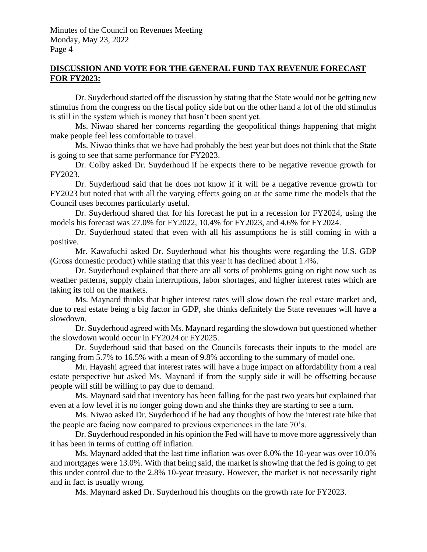### **DISCUSSION AND VOTE FOR THE GENERAL FUND TAX REVENUE FORECAST FOR FY2023:**

Dr. Suyderhoud started off the discussion by stating that the State would not be getting new stimulus from the congress on the fiscal policy side but on the other hand a lot of the old stimulus is still in the system which is money that hasn't been spent yet.

Ms. Niwao shared her concerns regarding the geopolitical things happening that might make people feel less comfortable to travel.

Ms. Niwao thinks that we have had probably the best year but does not think that the State is going to see that same performance for FY2023.

Dr. Colby asked Dr. Suyderhoud if he expects there to be negative revenue growth for FY2023.

Dr. Suyderhoud said that he does not know if it will be a negative revenue growth for FY2023 but noted that with all the varying effects going on at the same time the models that the Council uses becomes particularly useful.

Dr. Suyderhoud shared that for his forecast he put in a recession for FY2024, using the models his forecast was 27.0% for FY2022, 10.4% for FY2023, and 4.6% for FY2024.

Dr. Suyderhoud stated that even with all his assumptions he is still coming in with a positive.

Mr. Kawafuchi asked Dr. Suyderhoud what his thoughts were regarding the U.S. GDP (Gross domestic product) while stating that this year it has declined about 1.4%.

Dr. Suyderhoud explained that there are all sorts of problems going on right now such as weather patterns, supply chain interruptions, labor shortages, and higher interest rates which are taking its toll on the markets.

Ms. Maynard thinks that higher interest rates will slow down the real estate market and, due to real estate being a big factor in GDP, she thinks definitely the State revenues will have a slowdown.

Dr. Suyderhoud agreed with Ms. Maynard regarding the slowdown but questioned whether the slowdown would occur in FY2024 or FY2025.

Dr. Suyderhoud said that based on the Councils forecasts their inputs to the model are ranging from 5.7% to 16.5% with a mean of 9.8% according to the summary of model one.

Mr. Hayashi agreed that interest rates will have a huge impact on affordability from a real estate perspective but asked Ms. Maynard if from the supply side it will be offsetting because people will still be willing to pay due to demand.

Ms. Maynard said that inventory has been falling for the past two years but explained that even at a low level it is no longer going down and she thinks they are starting to see a turn.

Ms. Niwao asked Dr. Suyderhoud if he had any thoughts of how the interest rate hike that the people are facing now compared to previous experiences in the late 70's.

Dr. Suyderhoud responded in his opinion the Fed will have to move more aggressively than it has been in terms of cutting off inflation.

Ms. Maynard added that the last time inflation was over 8.0% the 10-year was over 10.0% and mortgages were 13.0%. With that being said, the market is showing that the fed is going to get this under control due to the 2.8% 10-year treasury. However, the market is not necessarily right and in fact is usually wrong.

Ms. Maynard asked Dr. Suyderhoud his thoughts on the growth rate for FY2023.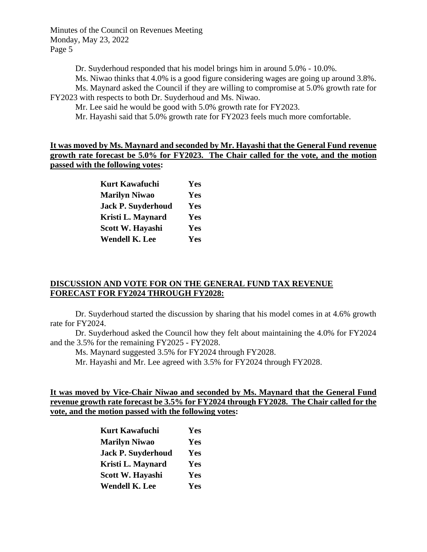Dr. Suyderhoud responded that his model brings him in around 5.0% - 10.0%.

Ms. Niwao thinks that 4.0% is a good figure considering wages are going up around 3.8%. Ms. Maynard asked the Council if they are willing to compromise at 5.0% growth rate for

FY2023 with respects to both Dr. Suyderhoud and Ms. Niwao.

Mr. Lee said he would be good with 5.0% growth rate for FY2023.

Mr. Hayashi said that 5.0% growth rate for FY2023 feels much more comfortable.

**It was moved by Ms. Maynard and seconded by Mr. Hayashi that the General Fund revenue growth rate forecast be 5.0% for FY2023. The Chair called for the vote, and the motion passed with the following votes:**

| <b>Kurt Kawafuchi</b>     | Yes |
|---------------------------|-----|
| <b>Marilyn Niwao</b>      | Yes |
| <b>Jack P. Suyderhoud</b> | Yes |
| Kristi L. Maynard         | Yes |
| Scott W. Hayashi          | Yes |
| <b>Wendell K. Lee</b>     | Yes |

#### **DISCUSSION AND VOTE FOR ON THE GENERAL FUND TAX REVENUE FORECAST FOR FY2024 THROUGH FY2028:**

Dr. Suyderhoud started the discussion by sharing that his model comes in at 4.6% growth rate for FY2024.

Dr. Suyderhoud asked the Council how they felt about maintaining the 4.0% for FY2024 and the 3.5% for the remaining FY2025 - FY2028.

Ms. Maynard suggested 3.5% for FY2024 through FY2028.

Mr. Hayashi and Mr. Lee agreed with 3.5% for FY2024 through FY2028.

### **It was moved by Vice-Chair Niwao and seconded by Ms. Maynard that the General Fund revenue growth rate forecast be 3.5% for FY2024 through FY2028. The Chair called for the vote, and the motion passed with the following votes:**

| <b>Kurt Kawafuchi</b>     | Yes |
|---------------------------|-----|
| <b>Marilyn Niwao</b>      | Yes |
| <b>Jack P. Suyderhoud</b> | Yes |
| Kristi L. Maynard         | Yes |
| Scott W. Hayashi          | Yes |
| <b>Wendell K. Lee</b>     | Yes |